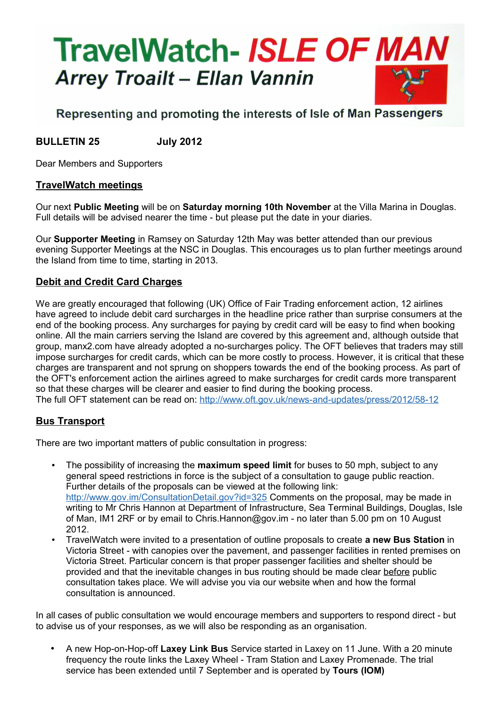# **TravelWatch- ISLE OF MAN Arrey Troailt - Ellan Vannin**

# Representing and promoting the interests of Isle of Man Passengers

## **BULLETIN 25 July 2012**

Dear Members and Supporters

### **TravelWatch meetings**

Our next **Public Meeting** will be on **Saturday morning 10th November** at the Villa Marina in Douglas. Full details will be advised nearer the time - but please put the date in your diaries.

Our **Supporter Meeting** in Ramsey on Saturday 12th May was better attended than our previous evening Supporter Meetings at the NSC in Douglas. This encourages us to plan further meetings around the Island from time to time, starting in 2013.

### **Debit and Credit Card Charges**

We are greatly encouraged that following (UK) Office of Fair Trading enforcement action, 12 airlines have agreed to include debit card surcharges in the headline price rather than surprise consumers at the end of the booking process. Any surcharges for paying by credit card will be easy to find when booking online. All the main carriers serving the Island are covered by this agreement and, although outside that group, manx2.com have already adopted a no-surcharges policy. The OFT believes that traders may still impose surcharges for credit cards, which can be more costly to process. However, it is critical that these charges are transparent and not sprung on shoppers towards the end of the booking process. As part of the OFT's enforcement action the airlines agreed to make surcharges for credit cards more transparent so that these charges will be clearer and easier to find during the booking process. The full OFT statement can be read on:<http://www.oft.gov.uk/news-and-updates/press/2012/58-12>

### **Bus Transport**

There are two important matters of public consultation in progress:

- The possibility of increasing the **maximum speed limit** for buses to 50 mph, subject to any general speed restrictions in force is the subject of a consultation to gauge public reaction. Further details of the proposals can be viewed at the following link: <http://www.gov.im/ConsultationDetail.gov?id=325>Comments on the proposal, may be made in writing to Mr Chris Hannon at Department of Infrastructure, Sea Terminal Buildings, Douglas, Isle of Man, IM1 2RF or by email to Chris.Hannon@gov.im - no later than 5.00 pm on 10 August 2012.
- TravelWatch were invited to a presentation of outline proposals to create **a new Bus Station** in Victoria Street - with canopies over the pavement, and passenger facilities in rented premises on Victoria Street. Particular concern is that proper passenger facilities and shelter should be provided and that the inevitable changes in bus routing should be made clear before public consultation takes place. We will advise you via our website when and how the formal consultation is announced.

In all cases of public consultation we would encourage members and supporters to respond direct - but to advise us of your responses, as we will also be responding as an organisation.

• A new Hop-on-Hop-off **Laxey Link Bus** Service started in Laxey on 11 June. With a 20 minute frequency the route links the Laxey Wheel - Tram Station and Laxey Promenade. The trial service has been extended until 7 September and is operated by **Tours (IOM)**